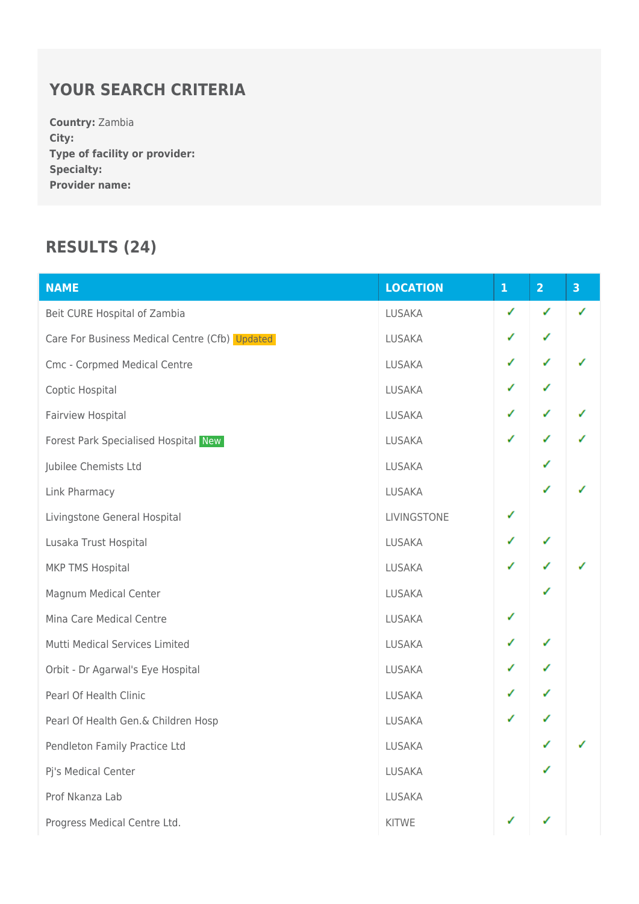## **YOUR SEARCH CRITERIA**

**Country:** Zambia **City: Type of facility or provider: Specialty: Provider name:**

## **RESULTS (24)**

| <b>NAME</b>                                    | <b>LOCATION</b> | ${\bf 1}$ | $\overline{2}$ | $\overline{\mathbf{3}}$ |
|------------------------------------------------|-----------------|-----------|----------------|-------------------------|
| Beit CURE Hospital of Zambia                   | <b>LUSAKA</b>   | ✓         | ✓              | ✓                       |
| Care For Business Medical Centre (Cfb) Updated | <b>LUSAKA</b>   | ✓         | ✓              |                         |
| Cmc - Corpmed Medical Centre                   | <b>LUSAKA</b>   | ✓         | ✓              |                         |
| Coptic Hospital                                | <b>LUSAKA</b>   | ✓         | ✓              |                         |
| Fairview Hospital                              | <b>LUSAKA</b>   | ✓         | ✓              | ✓                       |
| Forest Park Specialised Hospital New           | <b>LUSAKA</b>   | ✓         | ✓              |                         |
| Jubilee Chemists Ltd                           | <b>LUSAKA</b>   |           | ✓              |                         |
| Link Pharmacy                                  | <b>LUSAKA</b>   |           | ✓              |                         |
| Livingstone General Hospital                   | LIVINGSTONE     | ✓         |                |                         |
| Lusaka Trust Hospital                          | <b>LUSAKA</b>   | ✓         | ✓              |                         |
| MKP TMS Hospital                               | <b>LUSAKA</b>   | ✓         | ✓              |                         |
| Magnum Medical Center                          | <b>LUSAKA</b>   |           | ✓              |                         |
| Mina Care Medical Centre                       | <b>LUSAKA</b>   | ✓         |                |                         |
| Mutti Medical Services Limited                 | <b>LUSAKA</b>   | ✓         | ✓              |                         |
| Orbit - Dr Agarwal's Eye Hospital              | <b>LUSAKA</b>   | ✓         | ✓              |                         |
| Pearl Of Health Clinic                         | <b>LUSAKA</b>   | ✓         | ✓              |                         |
| Pearl Of Health Gen.& Children Hosp            | LUSAKA          | ✓         | ✓              |                         |
| Pendleton Family Practice Ltd                  | <b>LUSAKA</b>   |           | ✓              |                         |
| Pj's Medical Center                            | <b>LUSAKA</b>   |           | ✓              |                         |
| Prof Nkanza Lab                                | <b>LUSAKA</b>   |           |                |                         |
| Progress Medical Centre Ltd.                   | <b>KITWE</b>    | ✓         |                |                         |